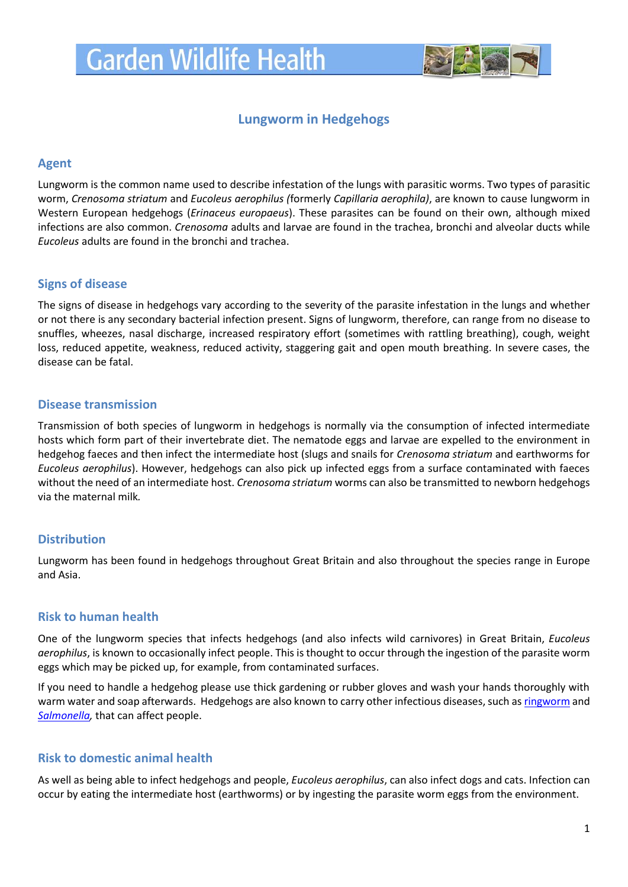

# **Lungworm in Hedgehogs**

#### **Agent**

Lungworm is the common name used to describe infestation of the lungs with parasitic worms. Two types of parasitic worm, *Crenosoma striatum* and *Eucoleus aerophilus (*formerly *Capillaria aerophila)*, are known to cause lungworm in Western European hedgehogs (*Erinaceus europaeus*). These parasites can be found on their own, although mixed infections are also common. *Crenosoma* adults and larvae are found in the trachea, bronchi and alveolar ducts while *Eucoleus* adults are found in the bronchi and trachea.

## **Signs of disease**

The signs of disease in hedgehogs vary according to the severity of the parasite infestation in the lungs and whether or not there is any secondary bacterial infection present. Signs of lungworm, therefore, can range from no disease to snuffles, wheezes, nasal discharge, increased respiratory effort (sometimes with rattling breathing), cough, weight loss, reduced appetite, weakness, reduced activity, staggering gait and open mouth breathing. In severe cases, the disease can be fatal.

## **Disease transmission**

Transmission of both species of lungworm in hedgehogs is normally via the consumption of infected intermediate hosts which form part of their invertebrate diet. The nematode eggs and larvae are expelled to the environment in hedgehog faeces and then infect the intermediate host (slugs and snails for *Crenosoma striatum* and earthworms for *Eucoleus aerophilus*). However, hedgehogs can also pick up infected eggs from a surface contaminated with faeces without the need of an intermediate host. *Crenosoma striatum* worms can also be transmitted to newborn hedgehogs via the maternal milk*.*

## **Distribution**

Lungworm has been found in hedgehogs throughout Great Britain and also throughout the species range in Europe and Asia.

#### **Risk to human health**

One of the lungworm species that infects hedgehogs (and also infects wild carnivores) in Great Britain, *Eucoleus aerophilus*, is known to occasionally infect people. This is thought to occur through the ingestion of the parasite worm eggs which may be picked up, for example, from contaminated surfaces.

If you need to handle a hedgehog please use thick gardening or rubber gloves and wash your hands thoroughly with warm water and soap afterwards. Hedgehogs are also known to carry other infectious diseases, such a[s ringworm](https://www.gardenwildlifehealth.org/portfolio/ringworm-in-hedgehogs/) and *[Salmonella,](https://www.gardenwildlifehealth.org/portfolio/hedgehog-salmonellosis/)* that can affect people.

## **Risk to domestic animal health**

As well as being able to infect hedgehogs and people, *Eucoleus aerophilus*, can also infect dogs and cats. Infection can occur by eating the intermediate host (earthworms) or by ingesting the parasite worm eggs from the environment.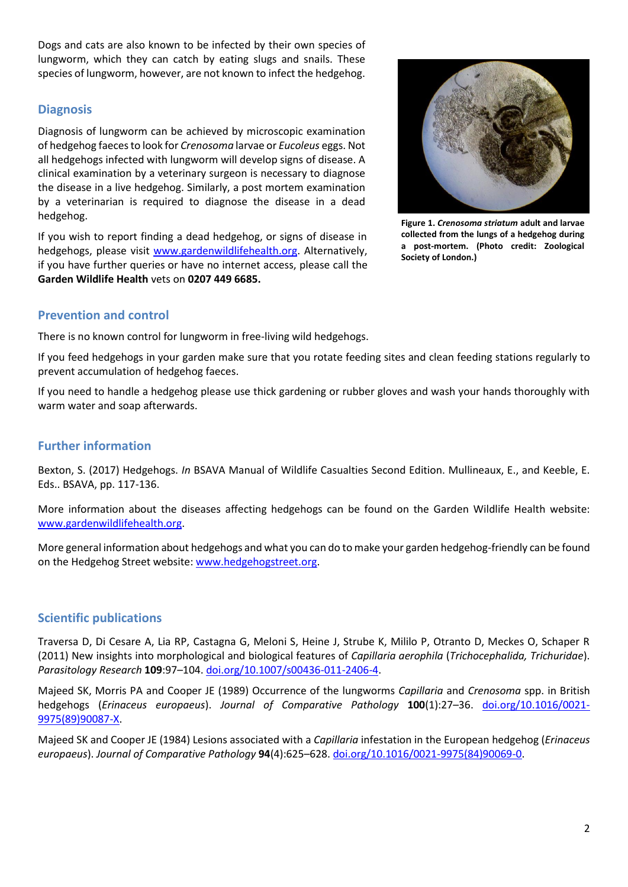Dogs and cats are also known to be infected by their own species of lungworm, which they can catch by eating slugs and snails. These species of lungworm, however, are not known to infect the hedgehog.

#### **Diagnosis**

Diagnosis of lungworm can be achieved by microscopic examination of hedgehog faeces to look for *Crenosoma* larvae or *Eucoleus* eggs. Not all hedgehogs infected with lungworm will develop signs of disease. A clinical examination by a veterinary surgeon is necessary to diagnose the disease in a live hedgehog. Similarly, a post mortem examination by a veterinarian is required to diagnose the disease in a dead hedgehog.

If you wish to report finding a dead hedgehog, or signs of disease in hedgehogs, please visit [www.gardenwildlifehealth.org.](http://www.gardenwildlifehealth.org/) Alternatively, if you have further queries or have no internet access, please call the **Garden Wildlife Health** vets on **0207 449 6685.**

## **Prevention and control**

There is no known control for lungworm in free-living wild hedgehogs.

If you feed hedgehogs in your garden make sure that you rotate feeding sites and clean feeding stations regularly to prevent accumulation of hedgehog faeces.

If you need to handle a hedgehog please use thick gardening or rubber gloves and wash your hands thoroughly with warm water and soap afterwards.

#### **Further information**

Bexton, S. (2017) Hedgehogs. *In* BSAVA Manual of Wildlife Casualties Second Edition. Mullineaux, E., and Keeble, E. Eds.. BSAVA, pp. 117-136.

More information about the diseases affecting hedgehogs can be found on the Garden Wildlife Health website: [www.gardenwildlifehealth.org.](http://www.gardenwildlifehealth.org/)

More general information about hedgehogs and what you can do to make your garden hedgehog-friendly can be found on the Hedgehog Street website[: www.hedgehogstreet.org.](http://www.hedgehogstreet.org/)

## **Scientific publications**

Traversa D, Di Cesare A, Lia RP, Castagna G, Meloni S, Heine J, Strube K, Mililo P, Otranto D, Meckes O, Schaper R (2011) New insights into morphological and biological features of *Capillaria aerophila* (*Trichocephalida, Trichuridae*). *Parasitology Research* **109**:97–104. [doi.org/10.1007/s00436-011-2406-4.](http://www.ncbi.nlm.nih.gov/pubmed/21739379)

Majeed SK, Morris PA and Cooper JE (1989) Occurrence of the lungworms *Capillaria* and *Crenosoma* spp. in British hedgehogs (*Erinaceus europaeus*). *Journal of Comparative Pathology* **100**(1):27–36. [doi.org/10.1016/0021-](http://www.ncbi.nlm.nih.gov/pubmed/2918108) [9975\(89\)90087-X.](http://www.ncbi.nlm.nih.gov/pubmed/2918108)

Majeed SK and Cooper JE (1984) Lesions associated with a *Capillaria* infestation in the European hedgehog (*Erinaceus europaeus*). *Journal of Comparative Pathology* **94**(4):625–628. [doi.org/10.1016/0021-9975\(84\)90069-0.](http://www.ncbi.nlm.nih.gov/pubmed/6512034)

**Figure 1.** *Crenosoma striatum* **adult and larvae collected from the lungs of a hedgehog during a post-mortem. (Photo credit: Zoological Society of London.)**